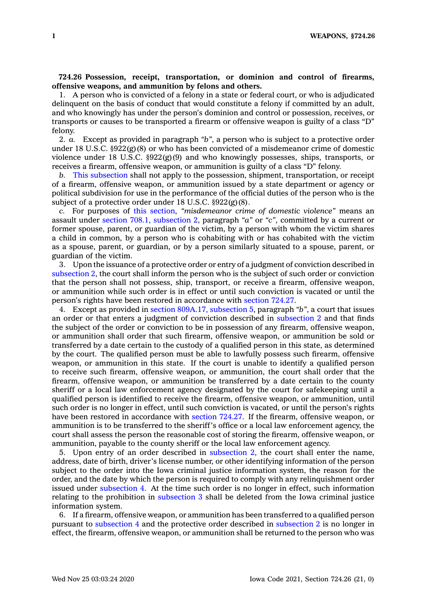## **724.26 Possession, receipt, transportation, or dominion and control of firearms, offensive weapons, and ammunition by felons and others.**

1. A person who is convicted of <sup>a</sup> felony in <sup>a</sup> state or federal court, or who is adjudicated delinquent on the basis of conduct that would constitute <sup>a</sup> felony if committed by an adult, and who knowingly has under the person's dominion and control or possession, receives, or transports or causes to be transported <sup>a</sup> firearm or offensive weapon is guilty of <sup>a</sup> class "D" felony.

2. *a.* Except as provided in paragraph *"b"*, <sup>a</sup> person who is subject to <sup>a</sup> protective order under 18 U.S.C.  $\S 922(g)(8)$  or who has been convicted of a misdemeanor crime of domestic violence under 18 U.S.C.  $\S 922(g)(9)$  and who knowingly possesses, ships, transports, or receives <sup>a</sup> firearm, offensive weapon, or ammunition is guilty of <sup>a</sup> class "D" felony.

*b.* This [subsection](https://www.legis.iowa.gov/docs/code/724.26.pdf) shall not apply to the possession, shipment, transportation, or receipt of <sup>a</sup> firearm, offensive weapon, or ammunition issued by <sup>a</sup> state department or agency or political subdivision for use in the performance of the official duties of the person who is the subject of <sup>a</sup> protective order under 18 U.S.C. §922(g)(8).

*c.* For purposes of this [section](https://www.legis.iowa.gov/docs/code/724.26.pdf), *"misdemeanor crime of domestic violence"* means an assault under section 708.1, [subsection](https://www.legis.iowa.gov/docs/code/708.1.pdf) 2, paragraph *"a"* or *"c"*, committed by <sup>a</sup> current or former spouse, parent, or guardian of the victim, by <sup>a</sup> person with whom the victim shares <sup>a</sup> child in common, by <sup>a</sup> person who is cohabiting with or has cohabited with the victim as <sup>a</sup> spouse, parent, or guardian, or by <sup>a</sup> person similarly situated to <sup>a</sup> spouse, parent, or guardian of the victim.

3. Upon the issuance of <sup>a</sup> protective order or entry of <sup>a</sup> judgment of conviction described in [subsection](https://www.legis.iowa.gov/docs/code/724.26.pdf) 2, the court shall inform the person who is the subject of such order or conviction that the person shall not possess, ship, transport, or receive <sup>a</sup> firearm, offensive weapon, or ammunition while such order is in effect or until such conviction is vacated or until the person's rights have been restored in accordance with [section](https://www.legis.iowa.gov/docs/code/724.27.pdf) 724.27.

4. Except as provided in section 809A.17, [subsection](https://www.legis.iowa.gov/docs/code/809A.17.pdf) 5, paragraph *"b"*, <sup>a</sup> court that issues an order or that enters <sup>a</sup> judgment of conviction described in [subsection](https://www.legis.iowa.gov/docs/code/724.26.pdf) 2 and that finds the subject of the order or conviction to be in possession of any firearm, offensive weapon, or ammunition shall order that such firearm, offensive weapon, or ammunition be sold or transferred by <sup>a</sup> date certain to the custody of <sup>a</sup> qualified person in this state, as determined by the court. The qualified person must be able to lawfully possess such firearm, offensive weapon, or ammunition in this state. If the court is unable to identify <sup>a</sup> qualified person to receive such firearm, offensive weapon, or ammunition, the court shall order that the firearm, offensive weapon, or ammunition be transferred by <sup>a</sup> date certain to the county sheriff or <sup>a</sup> local law enforcement agency designated by the court for safekeeping until <sup>a</sup> qualified person is identified to receive the firearm, offensive weapon, or ammunition, until such order is no longer in effect, until such conviction is vacated, or until the person's rights have been restored in accordance with [section](https://www.legis.iowa.gov/docs/code/724.27.pdf) 724.27. If the firearm, offensive weapon, or ammunition is to be transferred to the sheriff's office or <sup>a</sup> local law enforcement agency, the court shall assess the person the reasonable cost of storing the firearm, offensive weapon, or ammunition, payable to the county sheriff or the local law enforcement agency.

5. Upon entry of an order described in [subsection](https://www.legis.iowa.gov/docs/code/724.26.pdf) 2, the court shall enter the name, address, date of birth, driver's license number, or other identifying information of the person subject to the order into the Iowa criminal justice information system, the reason for the order, and the date by which the person is required to comply with any relinquishment order issued under [subsection](https://www.legis.iowa.gov/docs/code/724.26.pdf) 4. At the time such order is no longer in effect, such information relating to the prohibition in [subsection](https://www.legis.iowa.gov/docs/code/724.26.pdf) 3 shall be deleted from the Iowa criminal justice information system.

6. If <sup>a</sup> firearm, offensive weapon, or ammunition has been transferred to <sup>a</sup> qualified person pursuant to [subsection](https://www.legis.iowa.gov/docs/code/724.26.pdf) 4 and the protective order described in [subsection](https://www.legis.iowa.gov/docs/code/724.26.pdf) 2 is no longer in effect, the firearm, offensive weapon, or ammunition shall be returned to the person who was